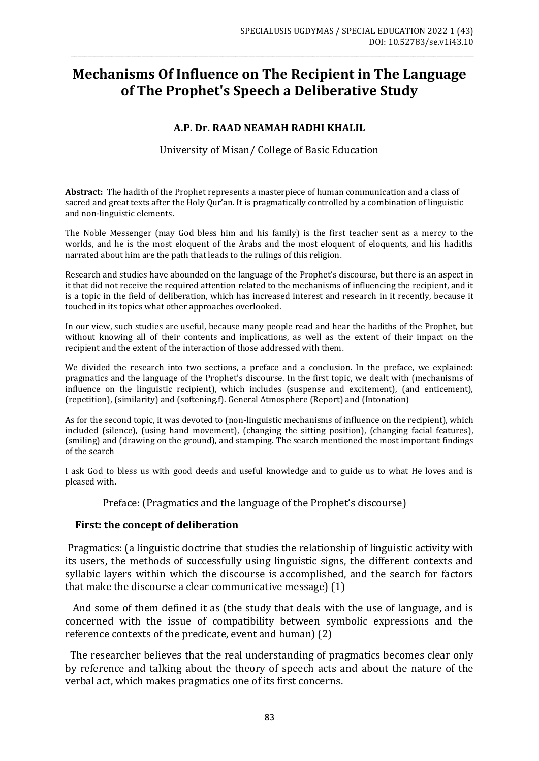# **Mechanisms Of Influence on The Recipient in The Language of The Prophet's Speech a Deliberative Study**

\_\_\_\_\_\_\_\_\_\_\_\_\_\_\_\_\_\_\_\_\_\_\_\_\_\_\_\_\_\_\_\_\_\_\_\_\_\_\_\_\_\_\_\_\_\_\_\_\_\_\_\_\_\_\_\_\_\_\_\_\_\_\_\_\_\_\_\_\_\_\_\_\_\_\_\_\_\_\_\_\_\_\_\_\_\_\_\_\_\_\_\_\_\_\_\_\_\_\_\_\_\_\_\_\_\_\_\_\_\_\_\_\_\_\_\_\_\_\_\_

## **A.P. Dr. RAAD NEAMAH RADHI KHALIL**

University of Misan/ College of Basic Education

**Abstract:** The hadith of the Prophet represents a masterpiece of human communication and a class of sacred and great texts after the Holy Qur'an. It is pragmatically controlled by a combination of linguistic and non-linguistic elements.

The Noble Messenger (may God bless him and his family) is the first teacher sent as a mercy to the worlds, and he is the most eloquent of the Arabs and the most eloquent of eloquents, and his hadiths narrated about him are the path that leads to the rulings of this religion.

Research and studies have abounded on the language of the Prophet's discourse, but there is an aspect in it that did not receive the required attention related to the mechanisms of influencing the recipient, and it is a topic in the field of deliberation, which has increased interest and research in it recently, because it touched in its topics what other approaches overlooked.

In our view, such studies are useful, because many people read and hear the hadiths of the Prophet, but without knowing all of their contents and implications, as well as the extent of their impact on the recipient and the extent of the interaction of those addressed with them.

We divided the research into two sections, a preface and a conclusion. In the preface, we explained: pragmatics and the language of the Prophet's discourse. In the first topic, we dealt with (mechanisms of influence on the linguistic recipient), which includes (suspense and excitement), (and enticement), (repetition), (similarity) and (softening.f). General Atmosphere (Report) and (Intonation(

As for the second topic, it was devoted to (non-linguistic mechanisms of influence on the recipient), which included (silence), (using hand movement), (changing the sitting position), (changing facial features), (smiling) and (drawing on the ground), and stamping. The search mentioned the most important findings of the search

I ask God to bless us with good deeds and useful knowledge and to guide us to what He loves and is pleased with.

Preface: (Pragmatics and the language of the Prophet's discourse)

## **First: the concept of deliberation**

Pragmatics: (a linguistic doctrine that studies the relationship of linguistic activity with its users, the methods of successfully using linguistic signs, the different contexts and syllabic layers within which the discourse is accomplished, and the search for factors that make the discourse a clear communicative message) (1)

 And some of them defined it as (the study that deals with the use of language, and is concerned with the issue of compatibility between symbolic expressions and the reference contexts of the predicate, event and human) (2)

 The researcher believes that the real understanding of pragmatics becomes clear only by reference and talking about the theory of speech acts and about the nature of the verbal act, which makes pragmatics one of its first concerns.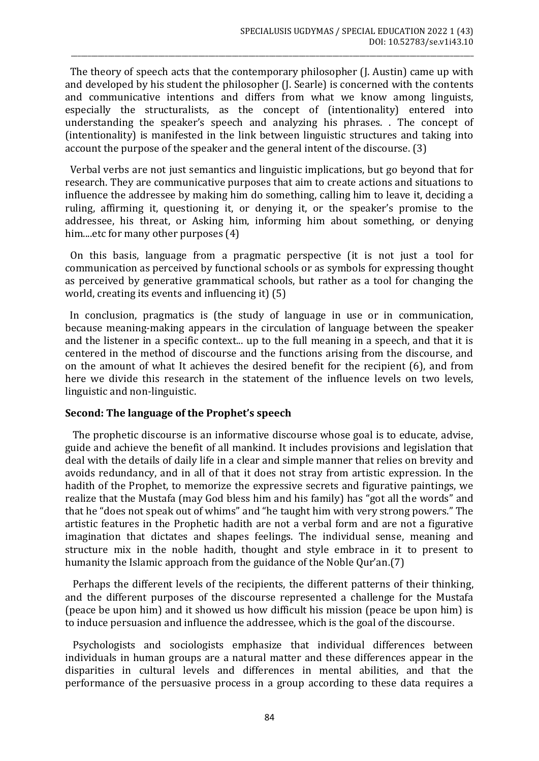The theory of speech acts that the contemporary philosopher (J. Austin) came up with and developed by his student the philosopher (J. Searle) is concerned with the contents and communicative intentions and differs from what we know among linguists, especially the structuralists, as the concept of (intentionality) entered into understanding the speaker's speech and analyzing his phrases. . The concept of (intentionality) is manifested in the link between linguistic structures and taking into account the purpose of the speaker and the general intent of the discourse. (3)

\_\_\_\_\_\_\_\_\_\_\_\_\_\_\_\_\_\_\_\_\_\_\_\_\_\_\_\_\_\_\_\_\_\_\_\_\_\_\_\_\_\_\_\_\_\_\_\_\_\_\_\_\_\_\_\_\_\_\_\_\_\_\_\_\_\_\_\_\_\_\_\_\_\_\_\_\_\_\_\_\_\_\_\_\_\_\_\_\_\_\_\_\_\_\_\_\_\_\_\_\_\_\_\_\_\_\_\_\_\_\_\_\_\_\_\_\_\_\_\_

 Verbal verbs are not just semantics and linguistic implications, but go beyond that for research. They are communicative purposes that aim to create actions and situations to influence the addressee by making him do something, calling him to leave it, deciding a ruling, affirming it, questioning it, or denying it, or the speaker's promise to the addressee, his threat, or Asking him, informing him about something, or denying him....etc for many other purposes (4)

 On this basis, language from a pragmatic perspective (it is not just a tool for communication as perceived by functional schools or as symbols for expressing thought as perceived by generative grammatical schools, but rather as a tool for changing the world, creating its events and influencing it) (5)

 In conclusion, pragmatics is (the study of language in use or in communication, because meaning-making appears in the circulation of language between the speaker and the listener in a specific context... up to the full meaning in a speech, and that it is centered in the method of discourse and the functions arising from the discourse, and on the amount of what It achieves the desired benefit for the recipient (6), and from here we divide this research in the statement of the influence levels on two levels, linguistic and non-linguistic.

## **Second: The language of the Prophet's speech**

 The prophetic discourse is an informative discourse whose goal is to educate, advise, guide and achieve the benefit of all mankind. It includes provisions and legislation that deal with the details of daily life in a clear and simple manner that relies on brevity and avoids redundancy, and in all of that it does not stray from artistic expression. In the hadith of the Prophet, to memorize the expressive secrets and figurative paintings, we realize that the Mustafa (may God bless him and his family) has "got all the words" and that he "does not speak out of whims" and "he taught him with very strong powers." The artistic features in the Prophetic hadith are not a verbal form and are not a figurative imagination that dictates and shapes feelings. The individual sense, meaning and structure mix in the noble hadith, thought and style embrace in it to present to humanity the Islamic approach from the guidance of the Noble Qur'an.(7)

 Perhaps the different levels of the recipients, the different patterns of their thinking, and the different purposes of the discourse represented a challenge for the Mustafa (peace be upon him) and it showed us how difficult his mission (peace be upon him) is to induce persuasion and influence the addressee, which is the goal of the discourse.

 Psychologists and sociologists emphasize that individual differences between individuals in human groups are a natural matter and these differences appear in the disparities in cultural levels and differences in mental abilities, and that the performance of the persuasive process in a group according to these data requires a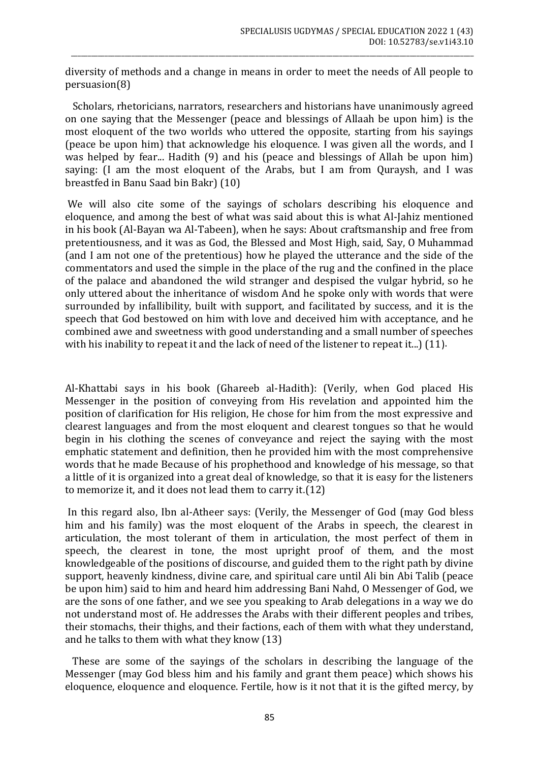diversity of methods and a change in means in order to meet the needs of All people to persuasion(8)

\_\_\_\_\_\_\_\_\_\_\_\_\_\_\_\_\_\_\_\_\_\_\_\_\_\_\_\_\_\_\_\_\_\_\_\_\_\_\_\_\_\_\_\_\_\_\_\_\_\_\_\_\_\_\_\_\_\_\_\_\_\_\_\_\_\_\_\_\_\_\_\_\_\_\_\_\_\_\_\_\_\_\_\_\_\_\_\_\_\_\_\_\_\_\_\_\_\_\_\_\_\_\_\_\_\_\_\_\_\_\_\_\_\_\_\_\_\_\_\_

 Scholars, rhetoricians, narrators, researchers and historians have unanimously agreed on one saying that the Messenger (peace and blessings of Allaah be upon him) is the most eloquent of the two worlds who uttered the opposite, starting from his sayings (peace be upon him) that acknowledge his eloquence. I was given all the words, and I was helped by fear... Hadith (9) and his (peace and blessings of Allah be upon him) saying: (I am the most eloquent of the Arabs, but I am from Quraysh, and I was breastfed in Banu Saad bin Bakr) (10)

We will also cite some of the sayings of scholars describing his eloquence and eloquence, and among the best of what was said about this is what Al-Jahiz mentioned in his book (Al-Bayan wa Al-Tabeen), when he says: About craftsmanship and free from pretentiousness, and it was as God, the Blessed and Most High, said, Say, O Muhammad (and I am not one of the pretentious) how he played the utterance and the side of the commentators and used the simple in the place of the rug and the confined in the place of the palace and abandoned the wild stranger and despised the vulgar hybrid, so he only uttered about the inheritance of wisdom And he spoke only with words that were surrounded by infallibility, built with support, and facilitated by success, and it is the speech that God bestowed on him with love and deceived him with acceptance, and he combined awe and sweetness with good understanding and a small number of speeches with his inability to repeat it and the lack of need of the listener to repeat it...)  $(11)$ .

Al-Khattabi says in his book (Ghareeb al-Hadith): (Verily, when God placed His Messenger in the position of conveying from His revelation and appointed him the position of clarification for His religion, He chose for him from the most expressive and clearest languages and from the most eloquent and clearest tongues so that he would begin in his clothing the scenes of conveyance and reject the saying with the most emphatic statement and definition, then he provided him with the most comprehensive words that he made Because of his prophethood and knowledge of his message, so that a little of it is organized into a great deal of knowledge, so that it is easy for the listeners to memorize it, and it does not lead them to carry it.(12)

In this regard also, Ibn al-Atheer says: (Verily, the Messenger of God (may God bless him and his family) was the most eloquent of the Arabs in speech, the clearest in articulation, the most tolerant of them in articulation, the most perfect of them in speech, the clearest in tone, the most upright proof of them, and the most knowledgeable of the positions of discourse, and guided them to the right path by divine support, heavenly kindness, divine care, and spiritual care until Ali bin Abi Talib (peace be upon him) said to him and heard him addressing Bani Nahd, O Messenger of God, we are the sons of one father, and we see you speaking to Arab delegations in a way we do not understand most of. He addresses the Arabs with their different peoples and tribes, their stomachs, their thighs, and their factions, each of them with what they understand, and he talks to them with what they know (13)

 These are some of the sayings of the scholars in describing the language of the Messenger (may God bless him and his family and grant them peace) which shows his eloquence, eloquence and eloquence. Fertile, how is it not that it is the gifted mercy, by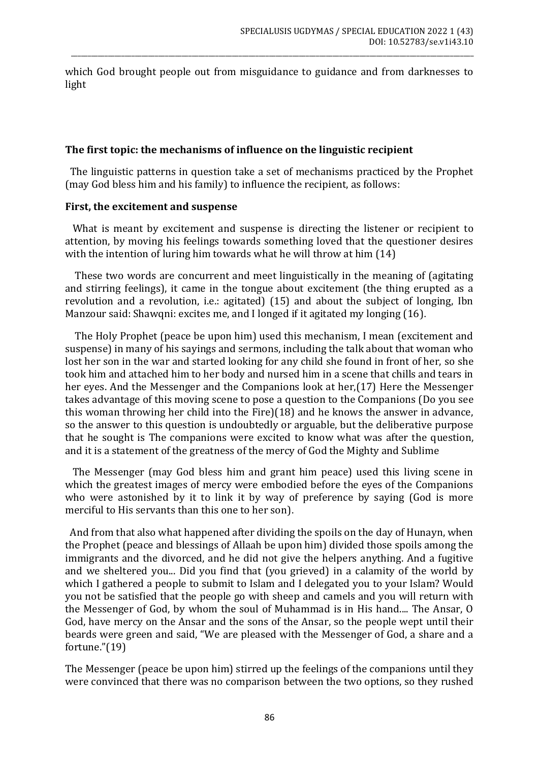which God brought people out from misguidance to guidance and from darknesses to light

\_\_\_\_\_\_\_\_\_\_\_\_\_\_\_\_\_\_\_\_\_\_\_\_\_\_\_\_\_\_\_\_\_\_\_\_\_\_\_\_\_\_\_\_\_\_\_\_\_\_\_\_\_\_\_\_\_\_\_\_\_\_\_\_\_\_\_\_\_\_\_\_\_\_\_\_\_\_\_\_\_\_\_\_\_\_\_\_\_\_\_\_\_\_\_\_\_\_\_\_\_\_\_\_\_\_\_\_\_\_\_\_\_\_\_\_\_\_\_\_

#### **The first topic: the mechanisms of influence on the linguistic recipient**

 The linguistic patterns in question take a set of mechanisms practiced by the Prophet (may God bless him and his family) to influence the recipient, as follows:

#### **First, the excitement and suspense**

 What is meant by excitement and suspense is directing the listener or recipient to attention, by moving his feelings towards something loved that the questioner desires with the intention of luring him towards what he will throw at him (14)

 These two words are concurrent and meet linguistically in the meaning of (agitating and stirring feelings), it came in the tongue about excitement (the thing erupted as a revolution and a revolution, i.e.: agitated) (15) and about the subject of longing, Ibn Manzour said: Shawqni: excites me, and I longed if it agitated my longing (16).

 The Holy Prophet (peace be upon him) used this mechanism, I mean (excitement and suspense) in many of his sayings and sermons, including the talk about that woman who lost her son in the war and started looking for any child she found in front of her, so she took him and attached him to her body and nursed him in a scene that chills and tears in her eyes. And the Messenger and the Companions look at her,(17) Here the Messenger takes advantage of this moving scene to pose a question to the Companions (Do you see this woman throwing her child into the Fire)(18) and he knows the answer in advance, so the answer to this question is undoubtedly or arguable, but the deliberative purpose that he sought is The companions were excited to know what was after the question, and it is a statement of the greatness of the mercy of God the Mighty and Sublime

 The Messenger (may God bless him and grant him peace) used this living scene in which the greatest images of mercy were embodied before the eyes of the Companions who were astonished by it to link it by way of preference by saying (God is more merciful to His servants than this one to her son).

 And from that also what happened after dividing the spoils on the day of Hunayn, when the Prophet (peace and blessings of Allaah be upon him) divided those spoils among the immigrants and the divorced, and he did not give the helpers anything. And a fugitive and we sheltered you... Did you find that (you grieved) in a calamity of the world by which I gathered a people to submit to Islam and I delegated you to your Islam? Would you not be satisfied that the people go with sheep and camels and you will return with the Messenger of God, by whom the soul of Muhammad is in His hand.... The Ansar, O God, have mercy on the Ansar and the sons of the Ansar, so the people wept until their beards were green and said, "We are pleased with the Messenger of God, a share and a fortune."(19)

The Messenger (peace be upon him) stirred up the feelings of the companions until they were convinced that there was no comparison between the two options, so they rushed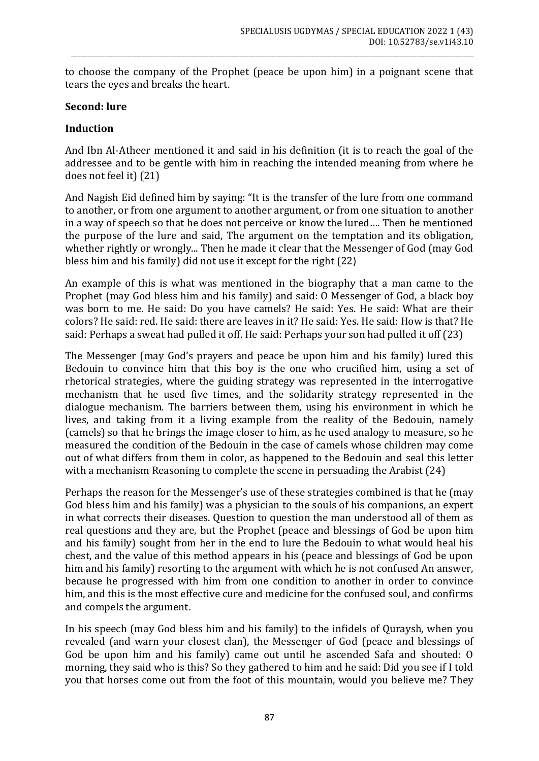to choose the company of the Prophet (peace be upon him) in a poignant scene that tears the eyes and breaks the heart.

\_\_\_\_\_\_\_\_\_\_\_\_\_\_\_\_\_\_\_\_\_\_\_\_\_\_\_\_\_\_\_\_\_\_\_\_\_\_\_\_\_\_\_\_\_\_\_\_\_\_\_\_\_\_\_\_\_\_\_\_\_\_\_\_\_\_\_\_\_\_\_\_\_\_\_\_\_\_\_\_\_\_\_\_\_\_\_\_\_\_\_\_\_\_\_\_\_\_\_\_\_\_\_\_\_\_\_\_\_\_\_\_\_\_\_\_\_\_\_\_

## **Second: lure**

# **Induction**

And Ibn Al-Atheer mentioned it and said in his definition (it is to reach the goal of the addressee and to be gentle with him in reaching the intended meaning from where he does not feel it) (21)

And Nagish Eid defined him by saying: "It is the transfer of the lure from one command to another, or from one argument to another argument, or from one situation to another in a way of speech so that he does not perceive or know the lured…. Then he mentioned the purpose of the lure and said, The argument on the temptation and its obligation, whether rightly or wrongly... Then he made it clear that the Messenger of God (may God bless him and his family) did not use it except for the right  $(22)$ 

An example of this is what was mentioned in the biography that a man came to the Prophet (may God bless him and his family) and said: O Messenger of God, a black boy was born to me. He said: Do you have camels? He said: Yes. He said: What are their colors? He said: red. He said: there are leaves in it? He said: Yes. He said: How is that? He said: Perhaps a sweat had pulled it off. He said: Perhaps your son had pulled it off (23)

The Messenger (may God's prayers and peace be upon him and his family) lured this Bedouin to convince him that this boy is the one who crucified him, using a set of rhetorical strategies, where the guiding strategy was represented in the interrogative mechanism that he used five times, and the solidarity strategy represented in the dialogue mechanism. The barriers between them, using his environment in which he lives, and taking from it a living example from the reality of the Bedouin, namely (camels) so that he brings the image closer to him, as he used analogy to measure, so he measured the condition of the Bedouin in the case of camels whose children may come out of what differs from them in color, as happened to the Bedouin and seal this letter with a mechanism Reasoning to complete the scene in persuading the Arabist (24)

Perhaps the reason for the Messenger's use of these strategies combined is that he (may God bless him and his family) was a physician to the souls of his companions, an expert in what corrects their diseases. Question to question the man understood all of them as real questions and they are, but the Prophet (peace and blessings of God be upon him and his family) sought from her in the end to lure the Bedouin to what would heal his chest, and the value of this method appears in his (peace and blessings of God be upon him and his family) resorting to the argument with which he is not confused An answer, because he progressed with him from one condition to another in order to convince him, and this is the most effective cure and medicine for the confused soul, and confirms and compels the argument.

In his speech (may God bless him and his family) to the infidels of Quraysh, when you revealed (and warn your closest clan), the Messenger of God (peace and blessings of God be upon him and his family) came out until he ascended Safa and shouted: O morning, they said who is this? So they gathered to him and he said: Did you see if I told you that horses come out from the foot of this mountain, would you believe me? They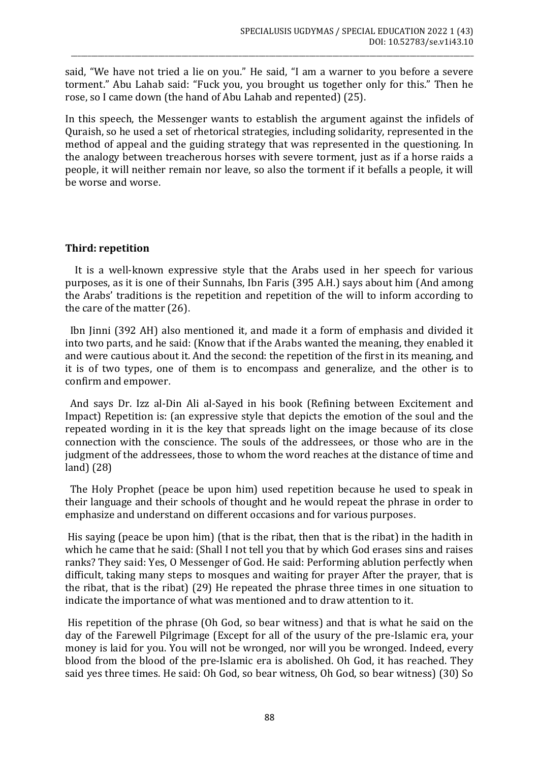said, "We have not tried a lie on you." He said, "I am a warner to you before a severe torment." Abu Lahab said: "Fuck you, you brought us together only for this." Then he rose, so I came down (the hand of Abu Lahab and repented) (25).

\_\_\_\_\_\_\_\_\_\_\_\_\_\_\_\_\_\_\_\_\_\_\_\_\_\_\_\_\_\_\_\_\_\_\_\_\_\_\_\_\_\_\_\_\_\_\_\_\_\_\_\_\_\_\_\_\_\_\_\_\_\_\_\_\_\_\_\_\_\_\_\_\_\_\_\_\_\_\_\_\_\_\_\_\_\_\_\_\_\_\_\_\_\_\_\_\_\_\_\_\_\_\_\_\_\_\_\_\_\_\_\_\_\_\_\_\_\_\_\_

In this speech, the Messenger wants to establish the argument against the infidels of Quraish, so he used a set of rhetorical strategies, including solidarity, represented in the method of appeal and the guiding strategy that was represented in the questioning. In the analogy between treacherous horses with severe torment, just as if a horse raids a people, it will neither remain nor leave, so also the torment if it befalls a people, it will be worse and worse.

## **Third: repetition**

 It is a well-known expressive style that the Arabs used in her speech for various purposes, as it is one of their Sunnahs, Ibn Faris (395 A.H.) says about him (And among the Arabs' traditions is the repetition and repetition of the will to inform according to the care of the matter (26).

 Ibn Jinni (392 AH) also mentioned it, and made it a form of emphasis and divided it into two parts, and he said: (Know that if the Arabs wanted the meaning, they enabled it and were cautious about it. And the second: the repetition of the first in its meaning, and it is of two types, one of them is to encompass and generalize, and the other is to confirm and empower.

 And says Dr. Izz al-Din Ali al-Sayed in his book (Refining between Excitement and Impact) Repetition is: (an expressive style that depicts the emotion of the soul and the repeated wording in it is the key that spreads light on the image because of its close connection with the conscience. The souls of the addressees, or those who are in the judgment of the addressees, those to whom the word reaches at the distance of time and land) (28)

 The Holy Prophet (peace be upon him) used repetition because he used to speak in their language and their schools of thought and he would repeat the phrase in order to emphasize and understand on different occasions and for various purposes.

His saying (peace be upon him) (that is the ribat, then that is the ribat) in the hadith in which he came that he said: (Shall I not tell you that by which God erases sins and raises ranks? They said: Yes, O Messenger of God. He said: Performing ablution perfectly when difficult, taking many steps to mosques and waiting for prayer After the prayer, that is the ribat, that is the ribat) (29) He repeated the phrase three times in one situation to indicate the importance of what was mentioned and to draw attention to it.

His repetition of the phrase (Oh God, so bear witness) and that is what he said on the day of the Farewell Pilgrimage (Except for all of the usury of the pre-Islamic era, your money is laid for you. You will not be wronged, nor will you be wronged. Indeed, every blood from the blood of the pre-Islamic era is abolished. Oh God, it has reached. They said yes three times. He said: Oh God, so bear witness, Oh God, so bear witness) (30) So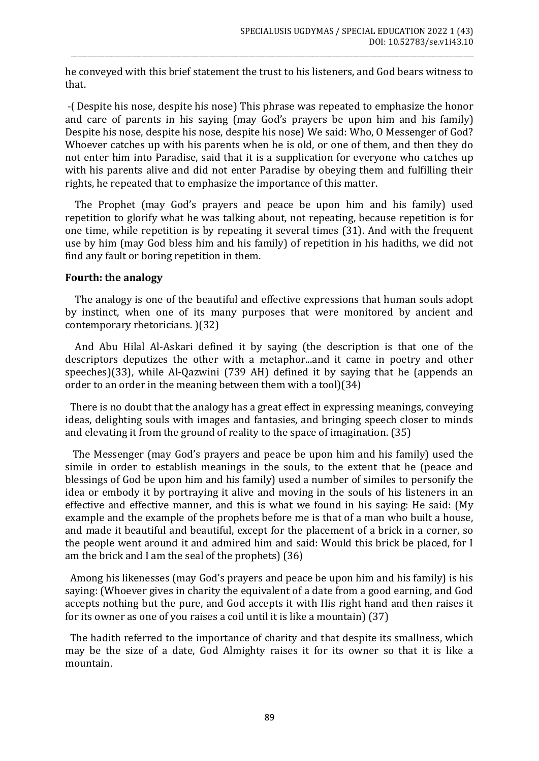he conveyed with this brief statement the trust to his listeners, and God bears witness to that.

\_\_\_\_\_\_\_\_\_\_\_\_\_\_\_\_\_\_\_\_\_\_\_\_\_\_\_\_\_\_\_\_\_\_\_\_\_\_\_\_\_\_\_\_\_\_\_\_\_\_\_\_\_\_\_\_\_\_\_\_\_\_\_\_\_\_\_\_\_\_\_\_\_\_\_\_\_\_\_\_\_\_\_\_\_\_\_\_\_\_\_\_\_\_\_\_\_\_\_\_\_\_\_\_\_\_\_\_\_\_\_\_\_\_\_\_\_\_\_\_

-) Despite his nose, despite his nose) This phrase was repeated to emphasize the honor and care of parents in his saying (may God's prayers be upon him and his family) Despite his nose, despite his nose, despite his nose) We said: Who, O Messenger of God? Whoever catches up with his parents when he is old, or one of them, and then they do not enter him into Paradise, said that it is a supplication for everyone who catches up with his parents alive and did not enter Paradise by obeying them and fulfilling their rights, he repeated that to emphasize the importance of this matter.

 The Prophet (may God's prayers and peace be upon him and his family) used repetition to glorify what he was talking about, not repeating, because repetition is for one time, while repetition is by repeating it several times (31). And with the frequent use by him (may God bless him and his family) of repetition in his hadiths, we did not find any fault or boring repetition in them.

## **Fourth: the analogy**

 The analogy is one of the beautiful and effective expressions that human souls adopt by instinct, when one of its many purposes that were monitored by ancient and contemporary rhetoricians. )(32)

 And Abu Hilal Al-Askari defined it by saying (the description is that one of the descriptors deputizes the other with a metaphor...and it came in poetry and other speeches)(33), while Al-Qazwini (739 AH) defined it by saying that he (appends an order to an order in the meaning between them with a tool $(34)$ 

 There is no doubt that the analogy has a great effect in expressing meanings, conveying ideas, delighting souls with images and fantasies, and bringing speech closer to minds and elevating it from the ground of reality to the space of imagination. (35)

 The Messenger (may God's prayers and peace be upon him and his family) used the simile in order to establish meanings in the souls, to the extent that he (peace and blessings of God be upon him and his family) used a number of similes to personify the idea or embody it by portraying it alive and moving in the souls of his listeners in an effective and effective manner, and this is what we found in his saying: He said: (My example and the example of the prophets before me is that of a man who built a house, and made it beautiful and beautiful, except for the placement of a brick in a corner, so the people went around it and admired him and said: Would this brick be placed, for I am the brick and I am the seal of the prophets)  $(36)$ 

 Among his likenesses (may God's prayers and peace be upon him and his family) is his saying: (Whoever gives in charity the equivalent of a date from a good earning, and God accepts nothing but the pure, and God accepts it with His right hand and then raises it for its owner as one of you raises a coil until it is like a mountain) (37)

 The hadith referred to the importance of charity and that despite its smallness, which may be the size of a date, God Almighty raises it for its owner so that it is like a mountain.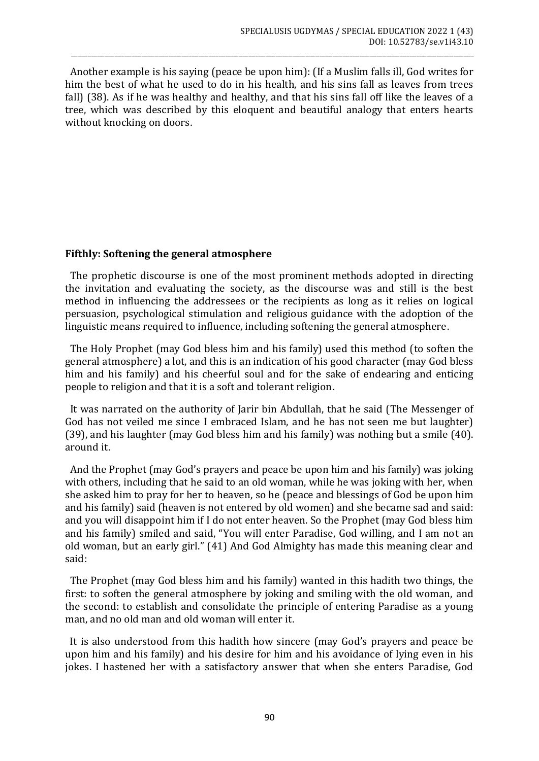Another example is his saying (peace be upon him): (If a Muslim falls ill, God writes for him the best of what he used to do in his health, and his sins fall as leaves from trees fall) (38). As if he was healthy and healthy, and that his sins fall off like the leaves of a tree, which was described by this eloquent and beautiful analogy that enters hearts without knocking on doors.

\_\_\_\_\_\_\_\_\_\_\_\_\_\_\_\_\_\_\_\_\_\_\_\_\_\_\_\_\_\_\_\_\_\_\_\_\_\_\_\_\_\_\_\_\_\_\_\_\_\_\_\_\_\_\_\_\_\_\_\_\_\_\_\_\_\_\_\_\_\_\_\_\_\_\_\_\_\_\_\_\_\_\_\_\_\_\_\_\_\_\_\_\_\_\_\_\_\_\_\_\_\_\_\_\_\_\_\_\_\_\_\_\_\_\_\_\_\_\_\_

# **Fifthly: Softening the general atmosphere**

 The prophetic discourse is one of the most prominent methods adopted in directing the invitation and evaluating the society, as the discourse was and still is the best method in influencing the addressees or the recipients as long as it relies on logical persuasion, psychological stimulation and religious guidance with the adoption of the linguistic means required to influence, including softening the general atmosphere.

 The Holy Prophet (may God bless him and his family) used this method (to soften the general atmosphere) a lot, and this is an indication of his good character (may God bless him and his family) and his cheerful soul and for the sake of endearing and enticing people to religion and that it is a soft and tolerant religion.

 It was narrated on the authority of Jarir bin Abdullah, that he said (The Messenger of God has not veiled me since I embraced Islam, and he has not seen me but laughter) (39), and his laughter (may God bless him and his family) was nothing but a smile (40). around it.

 And the Prophet (may God's prayers and peace be upon him and his family) was joking with others, including that he said to an old woman, while he was joking with her, when she asked him to pray for her to heaven, so he (peace and blessings of God be upon him and his family) said (heaven is not entered by old women) and she became sad and said: and you will disappoint him if I do not enter heaven. So the Prophet (may God bless him and his family) smiled and said, "You will enter Paradise, God willing, and I am not an old woman, but an early girl." (41) And God Almighty has made this meaning clear and said:

 The Prophet (may God bless him and his family) wanted in this hadith two things, the first: to soften the general atmosphere by joking and smiling with the old woman, and the second: to establish and consolidate the principle of entering Paradise as a young man, and no old man and old woman will enter it.

 It is also understood from this hadith how sincere (may God's prayers and peace be upon him and his family) and his desire for him and his avoidance of lying even in his jokes. I hastened her with a satisfactory answer that when she enters Paradise, God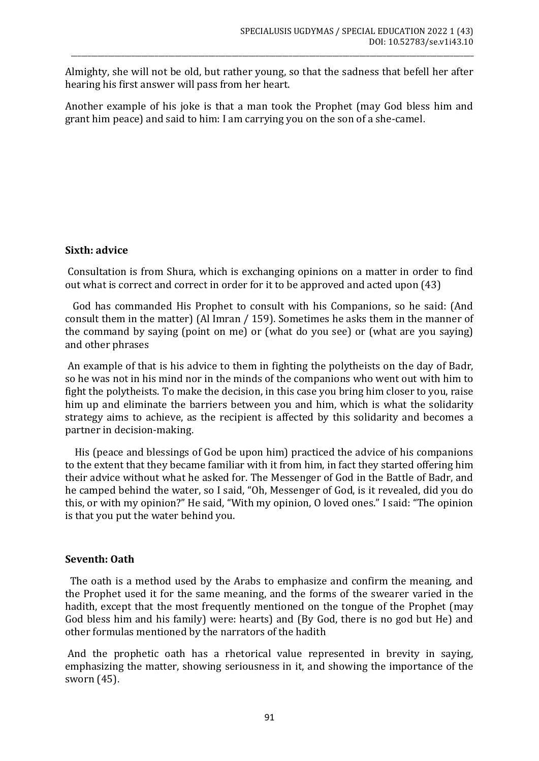Almighty, she will not be old, but rather young, so that the sadness that befell her after hearing his first answer will pass from her heart.

\_\_\_\_\_\_\_\_\_\_\_\_\_\_\_\_\_\_\_\_\_\_\_\_\_\_\_\_\_\_\_\_\_\_\_\_\_\_\_\_\_\_\_\_\_\_\_\_\_\_\_\_\_\_\_\_\_\_\_\_\_\_\_\_\_\_\_\_\_\_\_\_\_\_\_\_\_\_\_\_\_\_\_\_\_\_\_\_\_\_\_\_\_\_\_\_\_\_\_\_\_\_\_\_\_\_\_\_\_\_\_\_\_\_\_\_\_\_\_\_

Another example of his joke is that a man took the Prophet (may God bless him and grant him peace) and said to him: I am carrying you on the son of a she-camel.

# **Sixth: advice**

Consultation is from Shura, which is exchanging opinions on a matter in order to find out what is correct and correct in order for it to be approved and acted upon (43)

 God has commanded His Prophet to consult with his Companions, so he said: (And consult them in the matter) (Al Imran / 159). Sometimes he asks them in the manner of the command by saying (point on me) or (what do you see) or (what are you saying) and other phrases

An example of that is his advice to them in fighting the polytheists on the day of Badr, so he was not in his mind nor in the minds of the companions who went out with him to fight the polytheists. To make the decision, in this case you bring him closer to you, raise him up and eliminate the barriers between you and him, which is what the solidarity strategy aims to achieve, as the recipient is affected by this solidarity and becomes a partner in decision-making.

 His (peace and blessings of God be upon him) practiced the advice of his companions to the extent that they became familiar with it from him, in fact they started offering him their advice without what he asked for. The Messenger of God in the Battle of Badr, and he camped behind the water, so I said, "Oh, Messenger of God, is it revealed, did you do this, or with my opinion?" He said, "With my opinion, O loved ones." I said: "The opinion is that you put the water behind you.

## **Seventh: Oath**

 The oath is a method used by the Arabs to emphasize and confirm the meaning, and the Prophet used it for the same meaning, and the forms of the swearer varied in the hadith, except that the most frequently mentioned on the tongue of the Prophet (may God bless him and his family) were: hearts) and (By God, there is no god but He) and other formulas mentioned by the narrators of the hadith

And the prophetic oath has a rhetorical value represented in brevity in saying, emphasizing the matter, showing seriousness in it, and showing the importance of the sworn (45).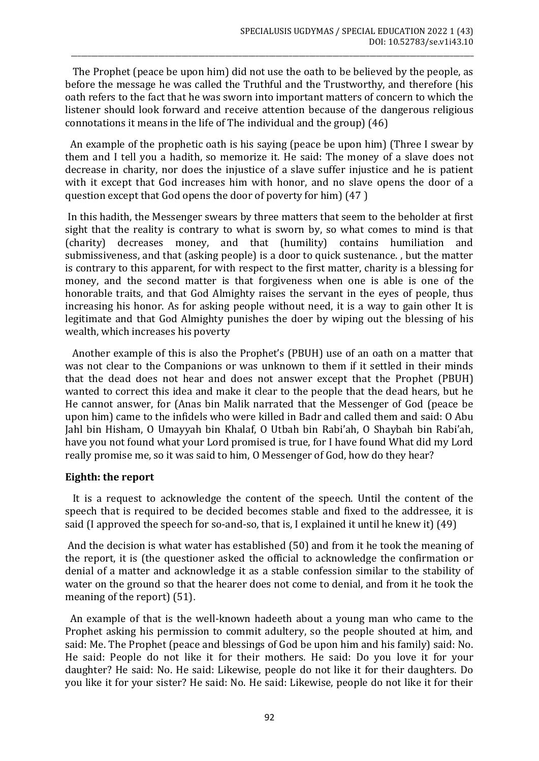The Prophet (peace be upon him) did not use the oath to be believed by the people, as before the message he was called the Truthful and the Trustworthy, and therefore (his oath refers to the fact that he was sworn into important matters of concern to which the listener should look forward and receive attention because of the dangerous religious connotations it means in the life of The individual and the group) (46)

\_\_\_\_\_\_\_\_\_\_\_\_\_\_\_\_\_\_\_\_\_\_\_\_\_\_\_\_\_\_\_\_\_\_\_\_\_\_\_\_\_\_\_\_\_\_\_\_\_\_\_\_\_\_\_\_\_\_\_\_\_\_\_\_\_\_\_\_\_\_\_\_\_\_\_\_\_\_\_\_\_\_\_\_\_\_\_\_\_\_\_\_\_\_\_\_\_\_\_\_\_\_\_\_\_\_\_\_\_\_\_\_\_\_\_\_\_\_\_\_

 An example of the prophetic oath is his saying (peace be upon him) (Three I swear by them and I tell you a hadith, so memorize it. He said: The money of a slave does not decrease in charity, nor does the injustice of a slave suffer injustice and he is patient with it except that God increases him with honor, and no slave opens the door of a question except that God opens the door of poverty for him) (47 )

In this hadith, the Messenger swears by three matters that seem to the beholder at first sight that the reality is contrary to what is sworn by, so what comes to mind is that (charity) decreases money, and that (humility) contains humiliation and submissiveness, and that (asking people) is a door to quick sustenance. , but the matter is contrary to this apparent, for with respect to the first matter, charity is a blessing for money, and the second matter is that forgiveness when one is able is one of the honorable traits, and that God Almighty raises the servant in the eyes of people, thus increasing his honor. As for asking people without need, it is a way to gain other It is legitimate and that God Almighty punishes the doer by wiping out the blessing of his wealth, which increases his poverty

 Another example of this is also the Prophet's (PBUH) use of an oath on a matter that was not clear to the Companions or was unknown to them if it settled in their minds that the dead does not hear and does not answer except that the Prophet (PBUH) wanted to correct this idea and make it clear to the people that the dead hears, but he He cannot answer, for (Anas bin Malik narrated that the Messenger of God (peace be upon him) came to the infidels who were killed in Badr and called them and said: O Abu Jahl bin Hisham, O Umayyah bin Khalaf, O Utbah bin Rabi'ah, O Shaybah bin Rabi'ah, have you not found what your Lord promised is true, for I have found What did my Lord really promise me, so it was said to him, O Messenger of God, how do they hear?

## **Eighth: the report**

 It is a request to acknowledge the content of the speech. Until the content of the speech that is required to be decided becomes stable and fixed to the addressee, it is said (I approved the speech for so-and-so, that is, I explained it until he knew it) (49)

And the decision is what water has established (50) and from it he took the meaning of the report, it is (the questioner asked the official to acknowledge the confirmation or denial of a matter and acknowledge it as a stable confession similar to the stability of water on the ground so that the hearer does not come to denial, and from it he took the meaning of the report) (51).

 An example of that is the well-known hadeeth about a young man who came to the Prophet asking his permission to commit adultery, so the people shouted at him, and said: Me. The Prophet (peace and blessings of God be upon him and his family) said: No. He said: People do not like it for their mothers. He said: Do you love it for your daughter? He said: No. He said: Likewise, people do not like it for their daughters. Do you like it for your sister? He said: No. He said: Likewise, people do not like it for their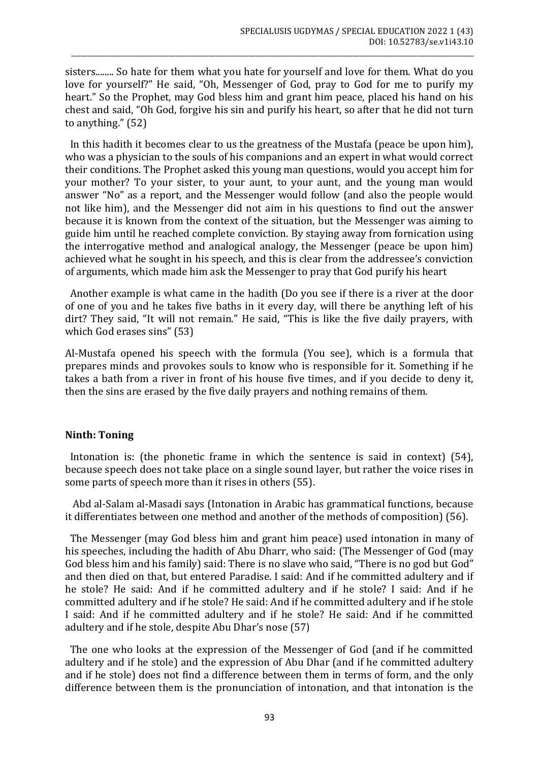sisters........ So hate for them what you hate for yourself and love for them. What do you love for yourself?" He said, "Oh, Messenger of God, pray to God for me to purify my heart." So the Prophet, may God bless him and grant him peace, placed his hand on his chest and said, "Oh God, forgive his sin and purify his heart, so after that he did not turn to anything." (52)

\_\_\_\_\_\_\_\_\_\_\_\_\_\_\_\_\_\_\_\_\_\_\_\_\_\_\_\_\_\_\_\_\_\_\_\_\_\_\_\_\_\_\_\_\_\_\_\_\_\_\_\_\_\_\_\_\_\_\_\_\_\_\_\_\_\_\_\_\_\_\_\_\_\_\_\_\_\_\_\_\_\_\_\_\_\_\_\_\_\_\_\_\_\_\_\_\_\_\_\_\_\_\_\_\_\_\_\_\_\_\_\_\_\_\_\_\_\_\_\_

 In this hadith it becomes clear to us the greatness of the Mustafa (peace be upon him), who was a physician to the souls of his companions and an expert in what would correct their conditions. The Prophet asked this young man questions, would you accept him for your mother? To your sister, to your aunt, to your aunt, and the young man would answer "No" as a report, and the Messenger would follow (and also the people would not like him), and the Messenger did not aim in his questions to find out the answer because it is known from the context of the situation, but the Messenger was aiming to guide him until he reached complete conviction. By staying away from fornication using the interrogative method and analogical analogy, the Messenger (peace be upon him) achieved what he sought in his speech, and this is clear from the addressee's conviction of arguments, which made him ask the Messenger to pray that God purify his heart

 Another example is what came in the hadith (Do you see if there is a river at the door of one of you and he takes five baths in it every day, will there be anything left of his dirt? They said, "It will not remain." He said, "This is like the five daily prayers, with which God erases sins" (53)

Al-Mustafa opened his speech with the formula (You see), which is a formula that prepares minds and provokes souls to know who is responsible for it. Something if he takes a bath from a river in front of his house five times, and if you decide to deny it, then the sins are erased by the five daily prayers and nothing remains of them.

## **Ninth: Toning**

 Intonation is: (the phonetic frame in which the sentence is said in context) (54), because speech does not take place on a single sound layer, but rather the voice rises in some parts of speech more than it rises in others (55).

 Abd al-Salam al-Masadi says (Intonation in Arabic has grammatical functions, because it differentiates between one method and another of the methods of composition) (56).

 The Messenger (may God bless him and grant him peace) used intonation in many of his speeches, including the hadith of Abu Dharr, who said: (The Messenger of God (may God bless him and his family) said: There is no slave who said, "There is no god but God" and then died on that, but entered Paradise. I said: And if he committed adultery and if he stole? He said: And if he committed adultery and if he stole? I said: And if he committed adultery and if he stole? He said: And if he committed adultery and if he stole I said: And if he committed adultery and if he stole? He said: And if he committed adultery and if he stole, despite Abu Dhar's nose (57)

 The one who looks at the expression of the Messenger of God (and if he committed adultery and if he stole) and the expression of Abu Dhar (and if he committed adultery and if he stole) does not find a difference between them in terms of form, and the only difference between them is the pronunciation of intonation, and that intonation is the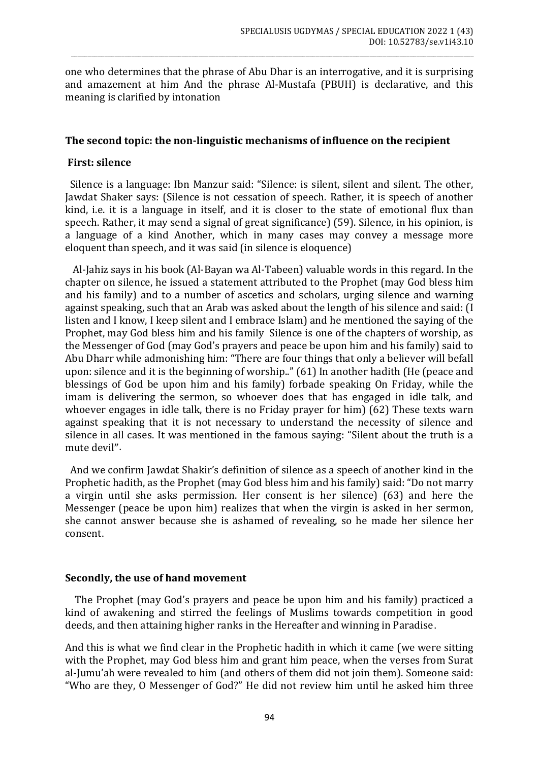one who determines that the phrase of Abu Dhar is an interrogative, and it is surprising and amazement at him And the phrase Al-Mustafa (PBUH) is declarative, and this meaning is clarified by intonation

\_\_\_\_\_\_\_\_\_\_\_\_\_\_\_\_\_\_\_\_\_\_\_\_\_\_\_\_\_\_\_\_\_\_\_\_\_\_\_\_\_\_\_\_\_\_\_\_\_\_\_\_\_\_\_\_\_\_\_\_\_\_\_\_\_\_\_\_\_\_\_\_\_\_\_\_\_\_\_\_\_\_\_\_\_\_\_\_\_\_\_\_\_\_\_\_\_\_\_\_\_\_\_\_\_\_\_\_\_\_\_\_\_\_\_\_\_\_\_\_

#### **The second topic: the non-linguistic mechanisms of influence on the recipient**

#### **First: silence**

 Silence is a language: Ibn Manzur said: "Silence: is silent, silent and silent. The other, Jawdat Shaker says: (Silence is not cessation of speech. Rather, it is speech of another kind, i.e. it is a language in itself, and it is closer to the state of emotional flux than speech. Rather, it may send a signal of great significance) (59). Silence, in his opinion, is a language of a kind Another, which in many cases may convey a message more eloquent than speech, and it was said (in silence is eloquence)

 Al-Jahiz says in his book (Al-Bayan wa Al-Tabeen) valuable words in this regard. In the chapter on silence, he issued a statement attributed to the Prophet (may God bless him and his family) and to a number of ascetics and scholars, urging silence and warning against speaking, such that an Arab was asked about the length of his silence and said: (I listen and I know, I keep silent and I embrace Islam) and he mentioned the saying of the Prophet, may God bless him and his family Silence is one of the chapters of worship, as the Messenger of God (may God's prayers and peace be upon him and his family) said to Abu Dharr while admonishing him: "There are four things that only a believer will befall upon: silence and it is the beginning of worship.." (61) In another hadith (He (peace and blessings of God be upon him and his family) forbade speaking On Friday, while the imam is delivering the sermon, so whoever does that has engaged in idle talk, and whoever engages in idle talk, there is no Friday prayer for him) (62) These texts warn against speaking that it is not necessary to understand the necessity of silence and silence in all cases. It was mentioned in the famous saying: "Silent about the truth is a mute devil".

 And we confirm Jawdat Shakir's definition of silence as a speech of another kind in the Prophetic hadith, as the Prophet (may God bless him and his family) said: "Do not marry a virgin until she asks permission. Her consent is her silence) (63) and here the Messenger (peace be upon him) realizes that when the virgin is asked in her sermon, she cannot answer because she is ashamed of revealing, so he made her silence her consent.

#### **Secondly, the use of hand movement**

 The Prophet (may God's prayers and peace be upon him and his family) practiced a kind of awakening and stirred the feelings of Muslims towards competition in good deeds, and then attaining higher ranks in the Hereafter and winning in Paradise.

And this is what we find clear in the Prophetic hadith in which it came (we were sitting with the Prophet, may God bless him and grant him peace, when the verses from Surat al-Jumu'ah were revealed to him (and others of them did not join them). Someone said: "Who are they, O Messenger of God?" He did not review him until he asked him three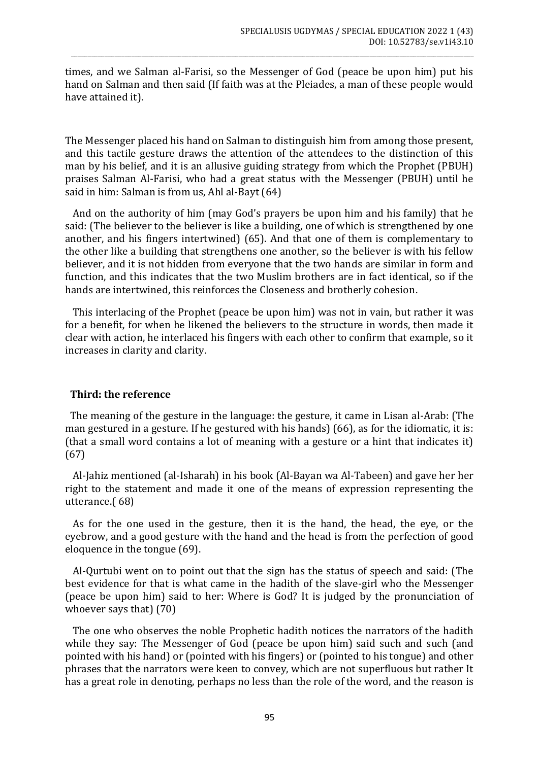times, and we Salman al-Farisi, so the Messenger of God (peace be upon him) put his hand on Salman and then said (If faith was at the Pleiades, a man of these people would have attained it).

\_\_\_\_\_\_\_\_\_\_\_\_\_\_\_\_\_\_\_\_\_\_\_\_\_\_\_\_\_\_\_\_\_\_\_\_\_\_\_\_\_\_\_\_\_\_\_\_\_\_\_\_\_\_\_\_\_\_\_\_\_\_\_\_\_\_\_\_\_\_\_\_\_\_\_\_\_\_\_\_\_\_\_\_\_\_\_\_\_\_\_\_\_\_\_\_\_\_\_\_\_\_\_\_\_\_\_\_\_\_\_\_\_\_\_\_\_\_\_\_

The Messenger placed his hand on Salman to distinguish him from among those present, and this tactile gesture draws the attention of the attendees to the distinction of this man by his belief, and it is an allusive guiding strategy from which the Prophet (PBUH) praises Salman Al-Farisi, who had a great status with the Messenger (PBUH) until he said in him: Salman is from us, Ahl al-Bayt (64)

 And on the authority of him (may God's prayers be upon him and his family) that he said: (The believer to the believer is like a building, one of which is strengthened by one another, and his fingers intertwined) (65). And that one of them is complementary to the other like a building that strengthens one another, so the believer is with his fellow believer, and it is not hidden from everyone that the two hands are similar in form and function, and this indicates that the two Muslim brothers are in fact identical, so if the hands are intertwined, this reinforces the Closeness and brotherly cohesion.

 This interlacing of the Prophet (peace be upon him) was not in vain, but rather it was for a benefit, for when he likened the believers to the structure in words, then made it clear with action, he interlaced his fingers with each other to confirm that example, so it increases in clarity and clarity.

## **Third: the reference**

 The meaning of the gesture in the language: the gesture, it came in Lisan al-Arab: (The man gestured in a gesture. If he gestured with his hands) (66), as for the idiomatic, it is: (that a small word contains a lot of meaning with a gesture or a hint that indicates it) (67)

 Al-Jahiz mentioned (al-Isharah) in his book (Al-Bayan wa Al-Tabeen) and gave her her right to the statement and made it one of the means of expression representing the utterance.(68)

 As for the one used in the gesture, then it is the hand, the head, the eye, or the eyebrow, and a good gesture with the hand and the head is from the perfection of good eloquence in the tongue (69).

 Al-Qurtubi went on to point out that the sign has the status of speech and said: (The best evidence for that is what came in the hadith of the slave-girl who the Messenger (peace be upon him) said to her: Where is God? It is judged by the pronunciation of whoever says that) (70)

 The one who observes the noble Prophetic hadith notices the narrators of the hadith while they say: The Messenger of God (peace be upon him) said such and such (and pointed with his hand) or (pointed with his fingers) or (pointed to his tongue) and other phrases that the narrators were keen to convey, which are not superfluous but rather It has a great role in denoting, perhaps no less than the role of the word, and the reason is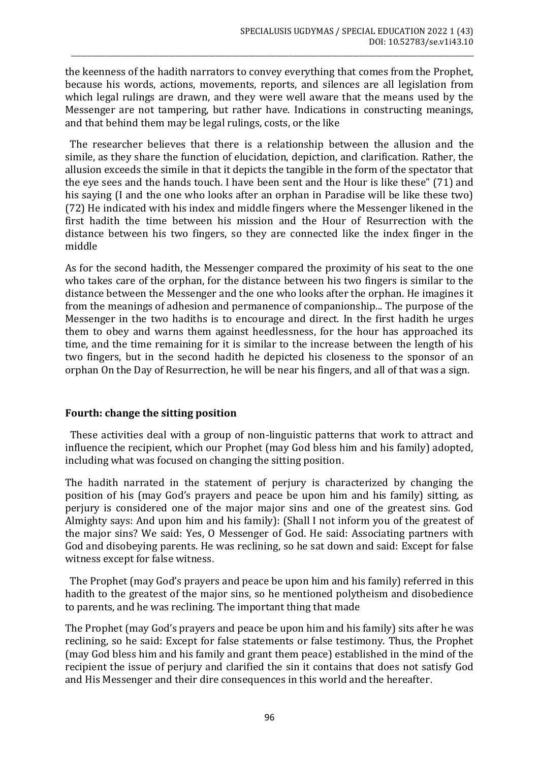the keenness of the hadith narrators to convey everything that comes from the Prophet, because his words, actions, movements, reports, and silences are all legislation from which legal rulings are drawn, and they were well aware that the means used by the Messenger are not tampering, but rather have. Indications in constructing meanings, and that behind them may be legal rulings, costs, or the like

\_\_\_\_\_\_\_\_\_\_\_\_\_\_\_\_\_\_\_\_\_\_\_\_\_\_\_\_\_\_\_\_\_\_\_\_\_\_\_\_\_\_\_\_\_\_\_\_\_\_\_\_\_\_\_\_\_\_\_\_\_\_\_\_\_\_\_\_\_\_\_\_\_\_\_\_\_\_\_\_\_\_\_\_\_\_\_\_\_\_\_\_\_\_\_\_\_\_\_\_\_\_\_\_\_\_\_\_\_\_\_\_\_\_\_\_\_\_\_\_

 The researcher believes that there is a relationship between the allusion and the simile, as they share the function of elucidation, depiction, and clarification. Rather, the allusion exceeds the simile in that it depicts the tangible in the form of the spectator that the eye sees and the hands touch. I have been sent and the Hour is like these" (71) and his saying (I and the one who looks after an orphan in Paradise will be like these two) (72) He indicated with his index and middle fingers where the Messenger likened in the first hadith the time between his mission and the Hour of Resurrection with the distance between his two fingers, so they are connected like the index finger in the middle

As for the second hadith, the Messenger compared the proximity of his seat to the one who takes care of the orphan, for the distance between his two fingers is similar to the distance between the Messenger and the one who looks after the orphan. He imagines it from the meanings of adhesion and permanence of companionship... The purpose of the Messenger in the two hadiths is to encourage and direct. In the first hadith he urges them to obey and warns them against heedlessness, for the hour has approached its time, and the time remaining for it is similar to the increase between the length of his two fingers, but in the second hadith he depicted his closeness to the sponsor of an orphan On the Day of Resurrection, he will be near his fingers, and all of that was a sign.

## **Fourth: change the sitting position**

 These activities deal with a group of non-linguistic patterns that work to attract and influence the recipient, which our Prophet (may God bless him and his family) adopted, including what was focused on changing the sitting position.

The hadith narrated in the statement of perjury is characterized by changing the position of his (may God's prayers and peace be upon him and his family) sitting, as perjury is considered one of the major major sins and one of the greatest sins. God Almighty says: And upon him and his family): (Shall I not inform you of the greatest of the major sins? We said: Yes, O Messenger of God. He said: Associating partners with God and disobeying parents. He was reclining, so he sat down and said: Except for false witness except for false witness.

 The Prophet (may God's prayers and peace be upon him and his family) referred in this hadith to the greatest of the major sins, so he mentioned polytheism and disobedience to parents, and he was reclining. The important thing that made

The Prophet (may God's prayers and peace be upon him and his family) sits after he was reclining, so he said: Except for false statements or false testimony. Thus, the Prophet (may God bless him and his family and grant them peace) established in the mind of the recipient the issue of perjury and clarified the sin it contains that does not satisfy God and His Messenger and their dire consequences in this world and the hereafter.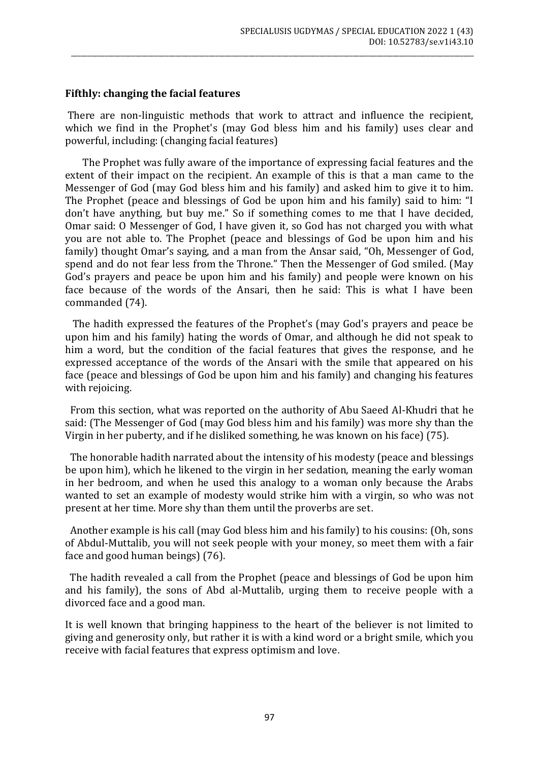#### **Fifthly: changing the facial features**

There are non-linguistic methods that work to attract and influence the recipient, which we find in the Prophet's (may God bless him and his family) uses clear and powerful, including: (changing facial features)

 The Prophet was fully aware of the importance of expressing facial features and the extent of their impact on the recipient. An example of this is that a man came to the Messenger of God (may God bless him and his family) and asked him to give it to him. The Prophet (peace and blessings of God be upon him and his family) said to him: "I don't have anything, but buy me." So if something comes to me that I have decided, Omar said: O Messenger of God, I have given it, so God has not charged you with what you are not able to. The Prophet (peace and blessings of God be upon him and his family) thought Omar's saying, and a man from the Ansar said, "Oh, Messenger of God, spend and do not fear less from the Throne." Then the Messenger of God smiled. (May God's prayers and peace be upon him and his family) and people were known on his face because of the words of the Ansari, then he said: This is what I have been commanded (74).

 The hadith expressed the features of the Prophet's (may God's prayers and peace be upon him and his family) hating the words of Omar, and although he did not speak to him a word, but the condition of the facial features that gives the response, and he expressed acceptance of the words of the Ansari with the smile that appeared on his face (peace and blessings of God be upon him and his family) and changing his features with rejoicing.

 From this section, what was reported on the authority of Abu Saeed Al-Khudri that he said: (The Messenger of God (may God bless him and his family) was more shy than the Virgin in her puberty, and if he disliked something, he was known on his face) (75).

 The honorable hadith narrated about the intensity of his modesty (peace and blessings be upon him), which he likened to the virgin in her sedation, meaning the early woman in her bedroom, and when he used this analogy to a woman only because the Arabs wanted to set an example of modesty would strike him with a virgin, so who was not present at her time. More shy than them until the proverbs are set.

 Another example is his call (may God bless him and his family) to his cousins: (Oh, sons of Abdul-Muttalib, you will not seek people with your money, so meet them with a fair face and good human beings) (76).

 The hadith revealed a call from the Prophet (peace and blessings of God be upon him and his family), the sons of Abd al-Muttalib, urging them to receive people with a divorced face and a good man.

It is well known that bringing happiness to the heart of the believer is not limited to giving and generosity only, but rather it is with a kind word or a bright smile, which you receive with facial features that express optimism and love.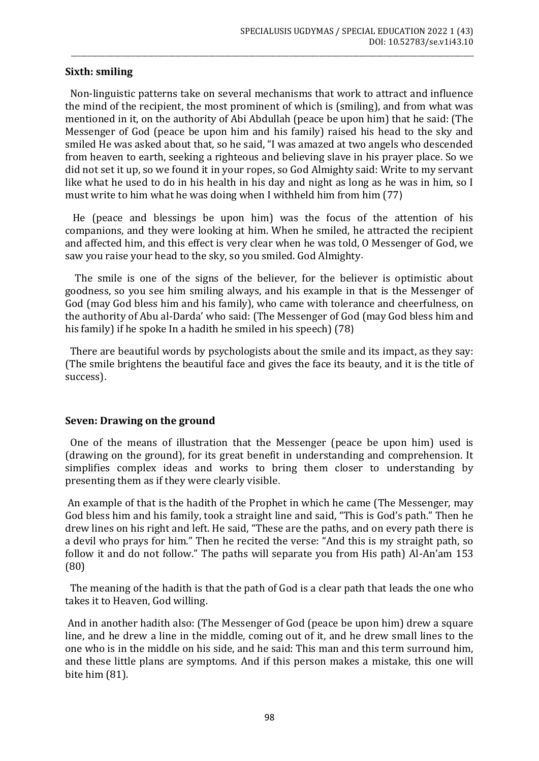## **Sixth: smiling**

 Non-linguistic patterns take on several mechanisms that work to attract and influence the mind of the recipient, the most prominent of which is (smiling), and from what was mentioned in it, on the authority of Abi Abdullah (peace be upon him) that he said: (The Messenger of God (peace be upon him and his family) raised his head to the sky and smiled He was asked about that, so he said, "I was amazed at two angels who descended from heaven to earth, seeking a righteous and believing slave in his prayer place. So we did not set it up, so we found it in your ropes, so God Almighty said: Write to my servant like what he used to do in his health in his day and night as long as he was in him, so I must write to him what he was doing when I withheld him from him (77)

\_\_\_\_\_\_\_\_\_\_\_\_\_\_\_\_\_\_\_\_\_\_\_\_\_\_\_\_\_\_\_\_\_\_\_\_\_\_\_\_\_\_\_\_\_\_\_\_\_\_\_\_\_\_\_\_\_\_\_\_\_\_\_\_\_\_\_\_\_\_\_\_\_\_\_\_\_\_\_\_\_\_\_\_\_\_\_\_\_\_\_\_\_\_\_\_\_\_\_\_\_\_\_\_\_\_\_\_\_\_\_\_\_\_\_\_\_\_\_\_

 He (peace and blessings be upon him) was the focus of the attention of his companions, and they were looking at him. When he smiled, he attracted the recipient and affected him, and this effect is very clear when he was told, O Messenger of God, we saw you raise your head to the sky, so you smiled. God Almighty.

 The smile is one of the signs of the believer, for the believer is optimistic about goodness, so you see him smiling always, and his example in that is the Messenger of God (may God bless him and his family), who came with tolerance and cheerfulness, on the authority of Abu al-Darda' who said: (The Messenger of God (may God bless him and his family) if he spoke In a hadith he smiled in his speech)  $(78)$ 

 There are beautiful words by psychologists about the smile and its impact, as they say: (The smile brightens the beautiful face and gives the face its beauty, and it is the title of success).

#### **Seven: Drawing on the ground**

 One of the means of illustration that the Messenger (peace be upon him) used is (drawing on the ground), for its great benefit in understanding and comprehension. It simplifies complex ideas and works to bring them closer to understanding by presenting them as if they were clearly visible.

An example of that is the hadith of the Prophet in which he came (The Messenger, may God bless him and his family, took a straight line and said, "This is God's path." Then he drew lines on his right and left. He said, "These are the paths, and on every path there is a devil who prays for him." Then he recited the verse: "And this is my straight path, so follow it and do not follow." The paths will separate you from His path) Al-An'am 153 (80)

 The meaning of the hadith is that the path of God is a clear path that leads the one who takes it to Heaven, God willing.

And in another hadith also: (The Messenger of God (peace be upon him) drew a square line, and he drew a line in the middle, coming out of it, and he drew small lines to the one who is in the middle on his side, and he said: This man and this term surround him, and these little plans are symptoms. And if this person makes a mistake, this one will bite him (81).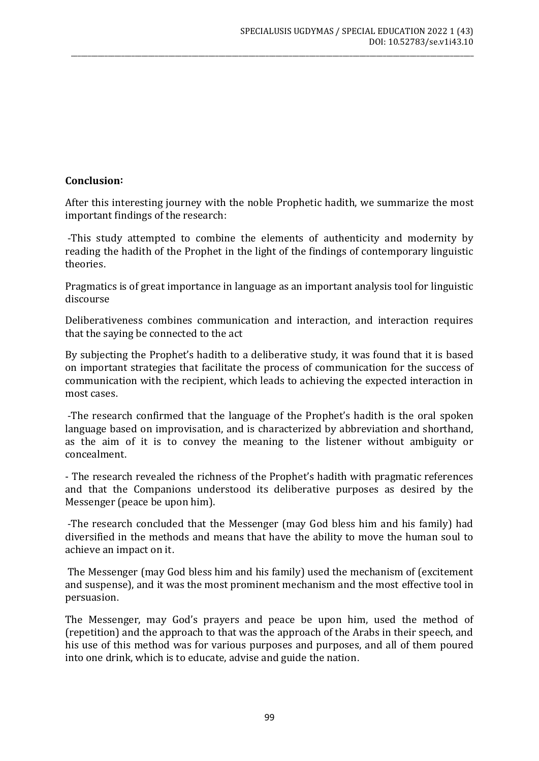# **Conclusion:**

After this interesting journey with the noble Prophetic hadith, we summarize the most important findings of the research:

\_\_\_\_\_\_\_\_\_\_\_\_\_\_\_\_\_\_\_\_\_\_\_\_\_\_\_\_\_\_\_\_\_\_\_\_\_\_\_\_\_\_\_\_\_\_\_\_\_\_\_\_\_\_\_\_\_\_\_\_\_\_\_\_\_\_\_\_\_\_\_\_\_\_\_\_\_\_\_\_\_\_\_\_\_\_\_\_\_\_\_\_\_\_\_\_\_\_\_\_\_\_\_\_\_\_\_\_\_\_\_\_\_\_\_\_\_\_\_\_

-This study attempted to combine the elements of authenticity and modernity by reading the hadith of the Prophet in the light of the findings of contemporary linguistic theories.

Pragmatics is of great importance in language as an important analysis tool for linguistic discourse

Deliberativeness combines communication and interaction, and interaction requires that the saying be connected to the act

By subjecting the Prophet's hadith to a deliberative study, it was found that it is based on important strategies that facilitate the process of communication for the success of communication with the recipient, which leads to achieving the expected interaction in most cases.

-The research confirmed that the language of the Prophet's hadith is the oral spoken language based on improvisation, and is characterized by abbreviation and shorthand, as the aim of it is to convey the meaning to the listener without ambiguity or concealment.

- The research revealed the richness of the Prophet's hadith with pragmatic references and that the Companions understood its deliberative purposes as desired by the Messenger (peace be upon him).

-The research concluded that the Messenger (may God bless him and his family) had diversified in the methods and means that have the ability to move the human soul to achieve an impact on it.

The Messenger (may God bless him and his family) used the mechanism of (excitement and suspense), and it was the most prominent mechanism and the most effective tool in persuasion.

The Messenger, may God's prayers and peace be upon him, used the method of (repetition) and the approach to that was the approach of the Arabs in their speech, and his use of this method was for various purposes and purposes, and all of them poured into one drink, which is to educate, advise and guide the nation.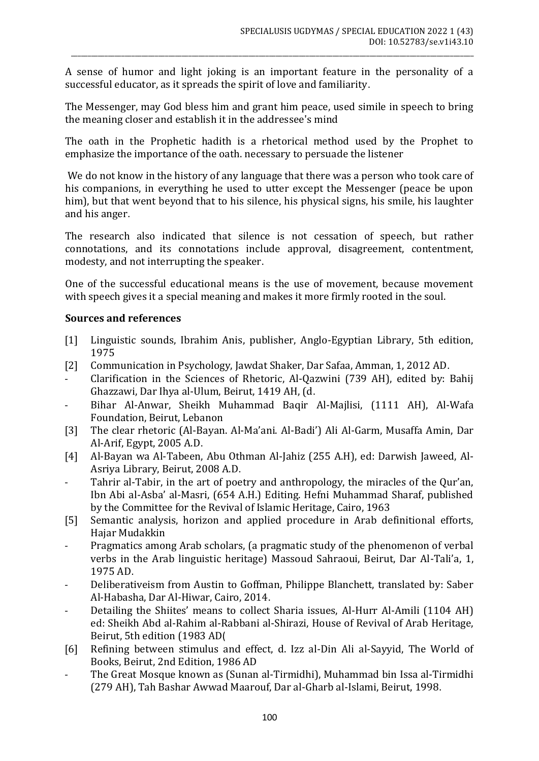A sense of humor and light joking is an important feature in the personality of a successful educator, as it spreads the spirit of love and familiarity.

\_\_\_\_\_\_\_\_\_\_\_\_\_\_\_\_\_\_\_\_\_\_\_\_\_\_\_\_\_\_\_\_\_\_\_\_\_\_\_\_\_\_\_\_\_\_\_\_\_\_\_\_\_\_\_\_\_\_\_\_\_\_\_\_\_\_\_\_\_\_\_\_\_\_\_\_\_\_\_\_\_\_\_\_\_\_\_\_\_\_\_\_\_\_\_\_\_\_\_\_\_\_\_\_\_\_\_\_\_\_\_\_\_\_\_\_\_\_\_\_

The Messenger, may God bless him and grant him peace, used simile in speech to bring the meaning closer and establish it in the addressee's mind

The oath in the Prophetic hadith is a rhetorical method used by the Prophet to emphasize the importance of the oath. necessary to persuade the listener

We do not know in the history of any language that there was a person who took care of his companions, in everything he used to utter except the Messenger (peace be upon him), but that went beyond that to his silence, his physical signs, his smile, his laughter and his anger.

The research also indicated that silence is not cessation of speech, but rather connotations, and its connotations include approval, disagreement, contentment, modesty, and not interrupting the speaker.

One of the successful educational means is the use of movement, because movement with speech gives it a special meaning and makes it more firmly rooted in the soul.

# **Sources and references**

- [1] Linguistic sounds, Ibrahim Anis, publisher, Anglo-Egyptian Library, 5th edition, 1975
- [2] Communication in Psychology, Jawdat Shaker, Dar Safaa, Amman, 1, 2012 AD.
- Clarification in the Sciences of Rhetoric, Al-Qazwini (739 AH), edited by: Bahij Ghazzawi, Dar Ihya al-Ulum, Beirut, 1419 AH, (d.
- Bihar Al-Anwar, Sheikh Muhammad Baqir Al-Majlisi, (1111 AH), Al-Wafa Foundation, Beirut, Lebanon
- [3] The clear rhetoric (Al-Bayan. Al-Ma'ani. Al-Badi') Ali Al-Garm, Musaffa Amin, Dar Al-Arif, Egypt, 2005 A.D.
- [4] Al-Bayan wa Al-Tabeen, Abu Othman Al-Jahiz (255 A.H), ed: Darwish Jaweed, Al-Asriya Library, Beirut, 2008 A.D.
- Tahrir al-Tabir, in the art of poetry and anthropology, the miracles of the Our'an, Ibn Abi al-Asba' al-Masri, (654 A.H.) Editing. Hefni Muhammad Sharaf, published by the Committee for the Revival of Islamic Heritage, Cairo, 1963
- [5] Semantic analysis, horizon and applied procedure in Arab definitional efforts, Hajar Mudakkin
- Pragmatics among Arab scholars, (a pragmatic study of the phenomenon of verbal verbs in the Arab linguistic heritage) Massoud Sahraoui, Beirut, Dar Al-Tali'a, 1, 1975 AD.
- Deliberativeism from Austin to Goffman, Philippe Blanchett, translated by: Saber Al-Habasha, Dar Al-Hiwar, Cairo, 2014.
- Detailing the Shiites' means to collect Sharia issues, Al-Hurr Al-Amili (1104 AH) ed: Sheikh Abd al-Rahim al-Rabbani al-Shirazi, House of Revival of Arab Heritage, Beirut, 5th edition (1983 AD)
- [6] Refining between stimulus and effect, d. Izz al-Din Ali al-Sayyid, The World of Books, Beirut, 2nd Edition, 1986 AD
- The Great Mosque known as (Sunan al-Tirmidhi), Muhammad bin Issa al-Tirmidhi (279 AH), Tah Bashar Awwad Maarouf, Dar al-Gharb al-Islami, Beirut, 1998.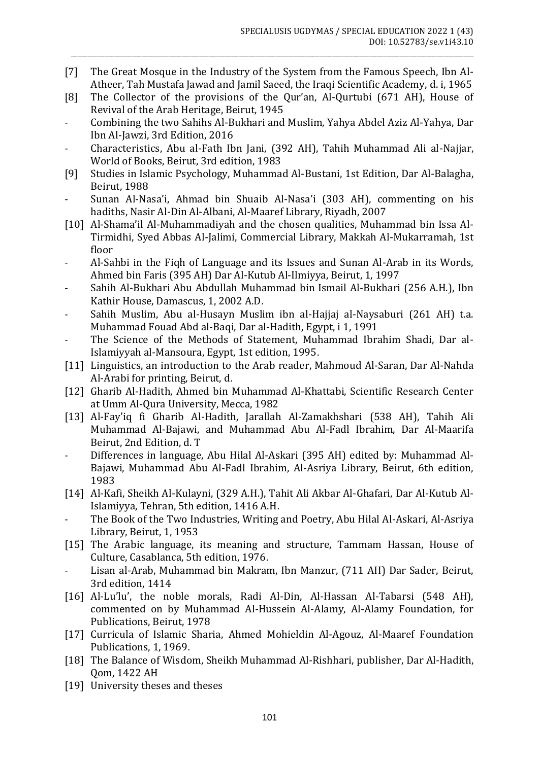[7] The Great Mosque in the Industry of the System from the Famous Speech, Ibn Al-Atheer, Tah Mustafa Jawad and Jamil Saeed, the Iraqi Scientific Academy, d. i, 1965

\_\_\_\_\_\_\_\_\_\_\_\_\_\_\_\_\_\_\_\_\_\_\_\_\_\_\_\_\_\_\_\_\_\_\_\_\_\_\_\_\_\_\_\_\_\_\_\_\_\_\_\_\_\_\_\_\_\_\_\_\_\_\_\_\_\_\_\_\_\_\_\_\_\_\_\_\_\_\_\_\_\_\_\_\_\_\_\_\_\_\_\_\_\_\_\_\_\_\_\_\_\_\_\_\_\_\_\_\_\_\_\_\_\_\_\_\_\_\_\_

- [8] The Collector of the provisions of the Qur'an, Al-Qurtubi (671 AH), House of Revival of the Arab Heritage, Beirut, 1945
- Combining the two Sahihs Al-Bukhari and Muslim, Yahya Abdel Aziz Al-Yahya, Dar Ibn Al-Jawzi, 3rd Edition, 2016
- Characteristics, Abu al-Fath Ibn Jani, (392 AH), Tahih Muhammad Ali al-Najjar, World of Books, Beirut, 3rd edition, 1983
- [9] Studies in Islamic Psychology, Muhammad Al-Bustani, 1st Edition, Dar Al-Balagha, Beirut, 1988
- Sunan Al-Nasa'i, Ahmad bin Shuaib Al-Nasa'i (303 AH), commenting on his hadiths, Nasir Al-Din Al-Albani, Al-Maaref Library, Riyadh, 2007
- [10] Al-Shama'il Al-Muhammadiyah and the chosen qualities, Muhammad bin Issa Al-Tirmidhi, Syed Abbas Al-Jalimi, Commercial Library, Makkah Al-Mukarramah, 1st floor
- Al-Sahbi in the Fiqh of Language and its Issues and Sunan Al-Arab in its Words, Ahmed bin Faris (395 AH) Dar Al-Kutub Al-Ilmiyya, Beirut, 1, 1997
- Sahih Al-Bukhari Abu Abdullah Muhammad bin Ismail Al-Bukhari (256 A.H.), Ibn Kathir House, Damascus, 1, 2002 A.D.
- Sahih Muslim, Abu al-Husayn Muslim ibn al-Hajjaj al-Naysaburi (261 AH) t.a. Muhammad Fouad Abd al-Baqi, Dar al-Hadith, Egypt, i 1, 1991
- The Science of the Methods of Statement, Muhammad Ibrahim Shadi, Dar al-Islamiyyah al-Mansoura, Egypt, 1st edition, 1995.
- [11] Linguistics, an introduction to the Arab reader, Mahmoud Al-Saran, Dar Al-Nahda Al-Arabi for printing, Beirut, d.
- [12] Gharib Al-Hadith, Ahmed bin Muhammad Al-Khattabi, Scientific Research Center at Umm Al-Qura University, Mecca, 1982
- [13] Al-Fay'iq fi Gharib Al-Hadith, Jarallah Al-Zamakhshari (538 AH), Tahih Ali Muhammad Al-Bajawi, and Muhammad Abu Al-Fadl Ibrahim, Dar Al-Maarifa Beirut, 2nd Edition, d. T
- Differences in language, Abu Hilal Al-Askari (395 AH) edited by: Muhammad Al-Bajawi, Muhammad Abu Al-Fadl Ibrahim, Al-Asriya Library, Beirut, 6th edition, 1983
- [14] Al-Kafi, Sheikh Al-Kulayni, (329 A.H.), Tahit Ali Akbar Al-Ghafari, Dar Al-Kutub Al-Islamiyya, Tehran, 5th edition, 1416 A.H.
- The Book of the Two Industries, Writing and Poetry, Abu Hilal Al-Askari, Al-Asriya Library, Beirut, 1, 1953
- [15] The Arabic language, its meaning and structure, Tammam Hassan, House of Culture, Casablanca, 5th edition, 1976.
- Lisan al-Arab, Muhammad bin Makram, Ibn Manzur, (711 AH) Dar Sader, Beirut, 3rd edition, 1414
- [16] Al-Lu'lu', the noble morals, Radi Al-Din, Al-Hassan Al-Tabarsi (548 AH), commented on by Muhammad Al-Hussein Al-Alamy, Al-Alamy Foundation, for Publications, Beirut, 1978
- [17] Curricula of Islamic Sharia, Ahmed Mohieldin Al-Agouz, Al-Maaref Foundation Publications, 1, 1969.
- [18] The Balance of Wisdom, Sheikh Muhammad Al-Rishhari, publisher, Dar Al-Hadith, Qom, 1422 AH
- [19] University theses and theses